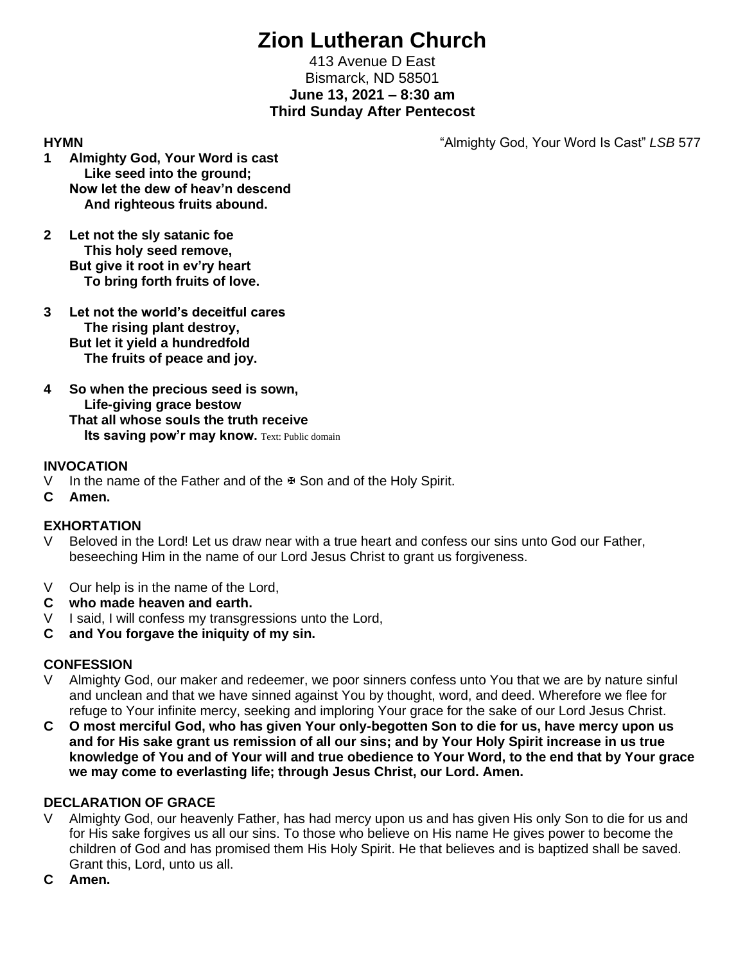# **Zion Lutheran Church**

413 Avenue D East Bismarck, ND 58501 **June 13, 2021 – 8:30 am Third Sunday After Pentecost**

**HYMN** "Almighty God, Your Word Is Cast" *LSB* 577

- **1 Almighty God, Your Word is cast Like seed into the ground; Now let the dew of heav'n descend And righteous fruits abound.**
- **2 Let not the sly satanic foe This holy seed remove, But give it root in ev'ry heart To bring forth fruits of love.**
- **3 Let not the world's deceitful cares The rising plant destroy, But let it yield a hundredfold The fruits of peace and joy.**
- **4 So when the precious seed is sown, Life-giving grace bestow That all whose souls the truth receive Its saving pow'r may know.** Text: Public domain

# **INVOCATION**

- V In the name of the Father and of the  $\Phi$  Son and of the Holy Spirit.
- **C Amen.**

# **EXHORTATION**

- V Beloved in the Lord! Let us draw near with a true heart and confess our sins unto God our Father, beseeching Him in the name of our Lord Jesus Christ to grant us forgiveness.
- V Our help is in the name of the Lord,
- **C who made heaven and earth.**
- V I said, I will confess my transgressions unto the Lord,
- **C and You forgave the iniquity of my sin.**

### **CONFESSION**

- V Almighty God, our maker and redeemer, we poor sinners confess unto You that we are by nature sinful and unclean and that we have sinned against You by thought, word, and deed. Wherefore we flee for refuge to Your infinite mercy, seeking and imploring Your grace for the sake of our Lord Jesus Christ.
- **C O most merciful God, who has given Your only-begotten Son to die for us, have mercy upon us and for His sake grant us remission of all our sins; and by Your Holy Spirit increase in us true knowledge of You and of Your will and true obedience to Your Word, to the end that by Your grace we may come to everlasting life; through Jesus Christ, our Lord. Amen.**

# **DECLARATION OF GRACE**

- Almighty God, our heavenly Father, has had mercy upon us and has given His only Son to die for us and for His sake forgives us all our sins. To those who believe on His name He gives power to become the children of God and has promised them His Holy Spirit. He that believes and is baptized shall be saved. Grant this, Lord, unto us all.
- **C Amen.**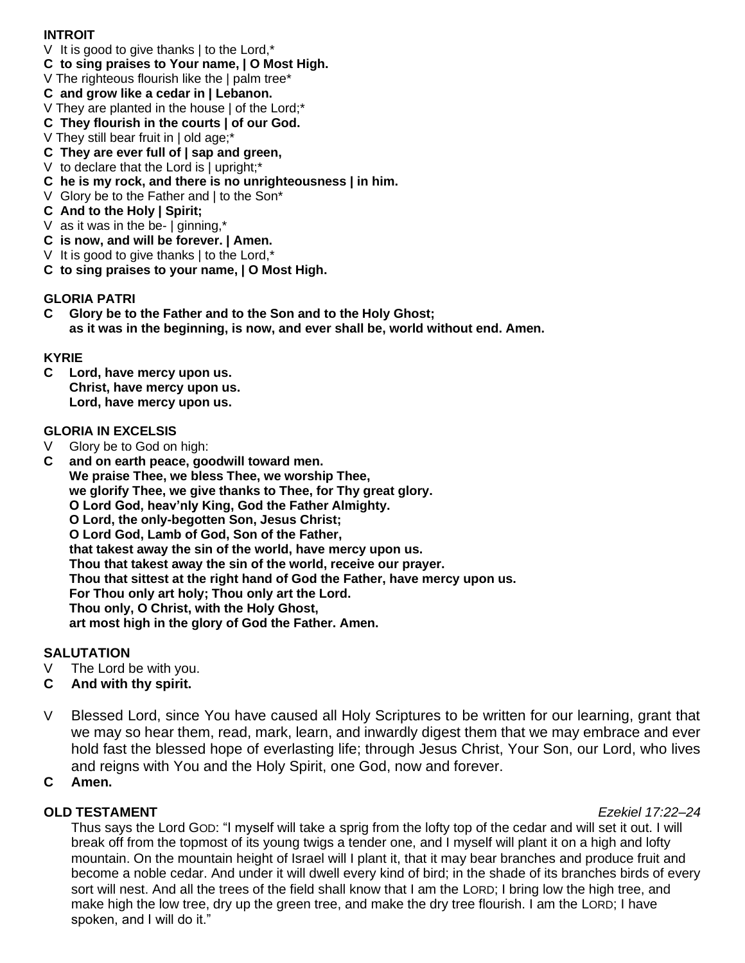## **INTROIT**

- V It is good to give thanks | to the Lord,\*
- **C to sing praises to Your name, | O Most High.**
- V The righteous flourish like the | palm tree\*
- **C and grow like a cedar in | Lebanon.**
- V They are planted in the house | of the Lord;\*
- **C They flourish in the courts | of our God.**
- V They still bear fruit in | old age;\*
- **C They are ever full of | sap and green,**
- V to declare that the Lord is | upright;\*
- **C he is my rock, and there is no unrighteousness | in him.**
- V Glory be to the Father and | to the Son\*
- **C And to the Holy | Spirit;**
- V as it was in the be-  $|$  ginning,\*
- **C is now, and will be forever. | Amen.**
- V It is good to give thanks | to the Lord,\*
- **C to sing praises to your name, | O Most High.**

## **GLORIA PATRI**

**C Glory be to the Father and to the Son and to the Holy Ghost; as it was in the beginning, is now, and ever shall be, world without end. Amen.**

# **KYRIE**

**C Lord, have mercy upon us. Christ, have mercy upon us. Lord, have mercy upon us.**

## **GLORIA IN EXCELSIS**

- V Glory be to God on high:
- **C and on earth peace, goodwill toward men. We praise Thee, we bless Thee, we worship Thee, we glorify Thee, we give thanks to Thee, for Thy great glory. O Lord God, heav'nly King, God the Father Almighty. O Lord, the only-begotten Son, Jesus Christ; O Lord God, Lamb of God, Son of the Father, that takest away the sin of the world, have mercy upon us. Thou that takest away the sin of the world, receive our prayer. Thou that sittest at the right hand of God the Father, have mercy upon us. For Thou only art holy; Thou only art the Lord. Thou only, O Christ, with the Holy Ghost, art most high in the glory of God the Father. Amen.**

# **SALUTATION**

- V The Lord be with you.
- **C And with thy spirit.**
- V Blessed Lord, since You have caused all Holy Scriptures to be written for our learning, grant that we may so hear them, read, mark, learn, and inwardly digest them that we may embrace and ever hold fast the blessed hope of everlasting life; through Jesus Christ, Your Son, our Lord, who lives and reigns with You and the Holy Spirit, one God, now and forever.

# **C Amen.**

# **OLD TESTAMENT** *Ezekiel 17:22–24*

Thus says the Lord GOD: "I myself will take a sprig from the lofty top of the cedar and will set it out. I will break off from the topmost of its young twigs a tender one, and I myself will plant it on a high and lofty mountain. On the mountain height of Israel will I plant it, that it may bear branches and produce fruit and become a noble cedar. And under it will dwell every kind of bird; in the shade of its branches birds of every sort will nest. And all the trees of the field shall know that I am the LORD; I bring low the high tree, and make high the low tree, dry up the green tree, and make the dry tree flourish. I am the LORD; I have spoken, and I will do it."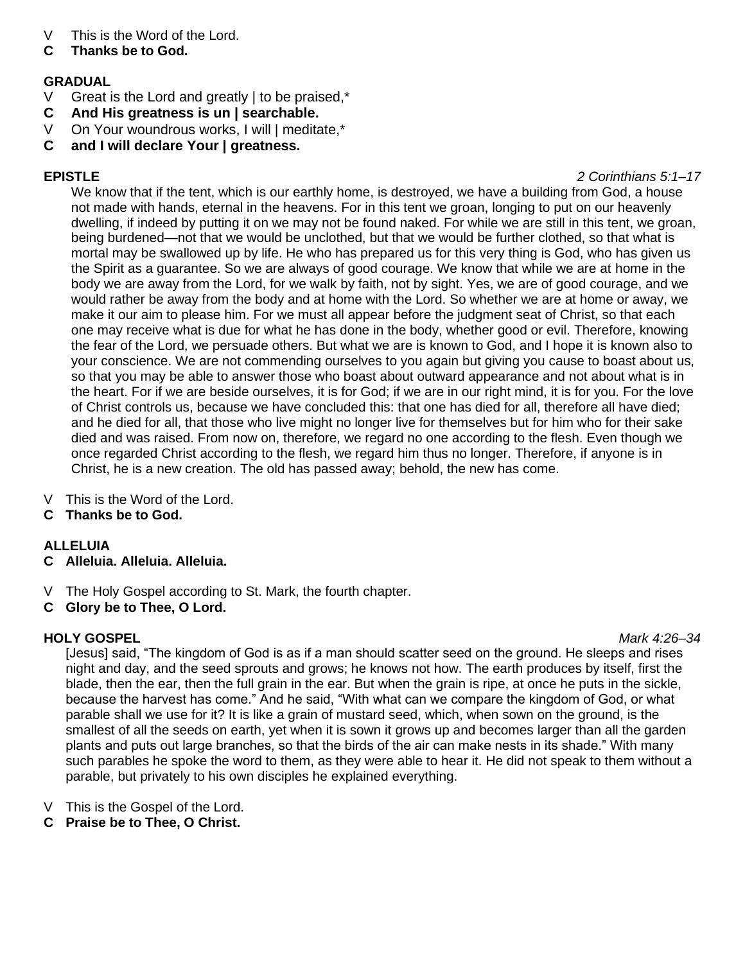# V This is the Word of the Lord.

**C Thanks be to God.**

# **GRADUAL**

- V Great is the Lord and greatly | to be praised,\*
- **C And His greatness is un | searchable.**
- V On Your woundrous works, I will | meditate,\*
- **C and I will declare Your | greatness.**

# **EPISTLE** *2 Corinthians 5:1–17*

We know that if the tent, which is our earthly home, is destroyed, we have a building from God, a house not made with hands, eternal in the heavens. For in this tent we groan, longing to put on our heavenly dwelling, if indeed by putting it on we may not be found naked. For while we are still in this tent, we groan, being burdened—not that we would be unclothed, but that we would be further clothed, so that what is mortal may be swallowed up by life. He who has prepared us for this very thing is God, who has given us the Spirit as a guarantee. So we are always of good courage. We know that while we are at home in the body we are away from the Lord, for we walk by faith, not by sight. Yes, we are of good courage, and we would rather be away from the body and at home with the Lord. So whether we are at home or away, we make it our aim to please him. For we must all appear before the judgment seat of Christ, so that each one may receive what is due for what he has done in the body, whether good or evil. Therefore, knowing the fear of the Lord, we persuade others. But what we are is known to God, and I hope it is known also to your conscience. We are not commending ourselves to you again but giving you cause to boast about us, so that you may be able to answer those who boast about outward appearance and not about what is in the heart. For if we are beside ourselves, it is for God; if we are in our right mind, it is for you. For the love of Christ controls us, because we have concluded this: that one has died for all, therefore all have died; and he died for all, that those who live might no longer live for themselves but for him who for their sake died and was raised. From now on, therefore, we regard no one according to the flesh. Even though we once regarded Christ according to the flesh, we regard him thus no longer. Therefore, if anyone is in Christ, he is a new creation. The old has passed away; behold, the new has come.

- V This is the Word of the Lord.
- **C Thanks be to God.**

# **ALLELUIA**

# **C Alleluia. Alleluia. Alleluia.**

- V The Holy Gospel according to St. Mark, the fourth chapter.
- **C Glory be to Thee, O Lord.**

# **HOLY GOSPEL** *Mark 4:26–34*

[Jesus] said, "The kingdom of God is as if a man should scatter seed on the ground. He sleeps and rises night and day, and the seed sprouts and grows; he knows not how. The earth produces by itself, first the blade, then the ear, then the full grain in the ear. But when the grain is ripe, at once he puts in the sickle, because the harvest has come." And he said, "With what can we compare the kingdom of God, or what parable shall we use for it? It is like a grain of mustard seed, which, when sown on the ground, is the smallest of all the seeds on earth, yet when it is sown it grows up and becomes larger than all the garden plants and puts out large branches, so that the birds of the air can make nests in its shade." With many such parables he spoke the word to them, as they were able to hear it. He did not speak to them without a parable, but privately to his own disciples he explained everything.

- V This is the Gospel of the Lord.
- **C Praise be to Thee, O Christ.**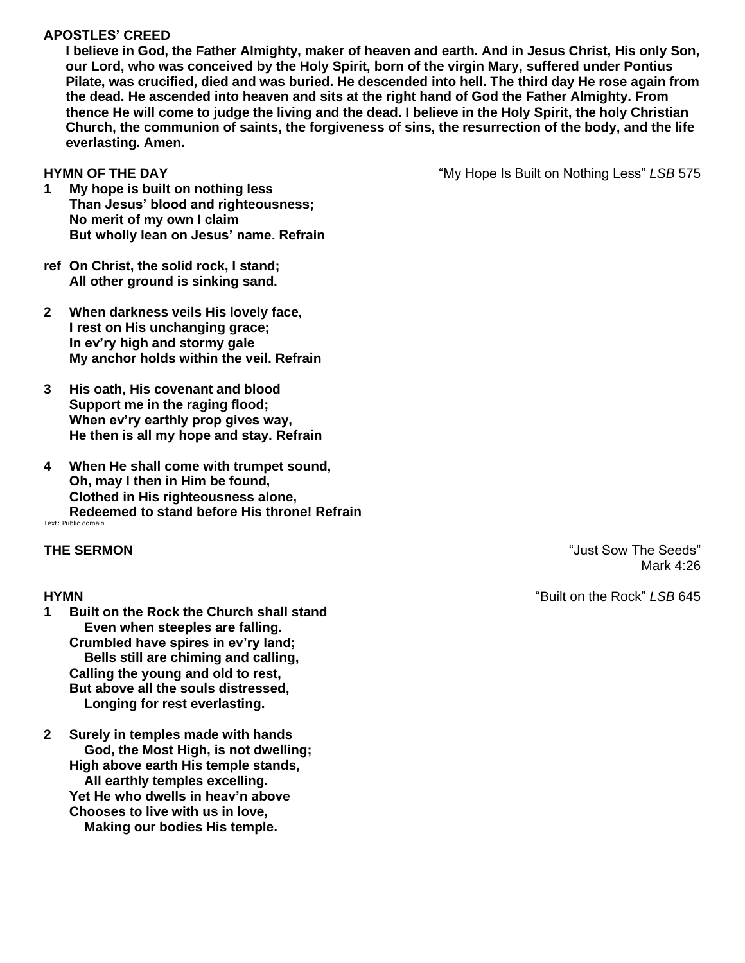### **APOSTLES' CREED**

**I believe in God, the Father Almighty, maker of heaven and earth. And in Jesus Christ, His only Son, our Lord, who was conceived by the Holy Spirit, born of the virgin Mary, suffered under Pontius Pilate, was crucified, died and was buried. He descended into hell. The third day He rose again from the dead. He ascended into heaven and sits at the right hand of God the Father Almighty. From thence He will come to judge the living and the dead. I believe in the Holy Spirit, the holy Christian Church, the communion of saints, the forgiveness of sins, the resurrection of the body, and the life everlasting. Amen.**

**HYMN OF THE DAY EXECUTE:** The My Hope Is Built on Nothing Less" LSB 575

- **1 My hope is built on nothing less Than Jesus' blood and righteousness; No merit of my own I claim But wholly lean on Jesus' name. Refrain**
- **ref On Christ, the solid rock, I stand; All other ground is sinking sand.**
- **2 When darkness veils His lovely face, I rest on His unchanging grace; In ev'ry high and stormy gale My anchor holds within the veil. Refrain**
- **3 His oath, His covenant and blood Support me in the raging flood; When ev'ry earthly prop gives way, He then is all my hope and stay. Refrain**
- **4 When He shall come with trumpet sound, Oh, may I then in Him be found, Clothed in His righteousness alone, Redeemed to stand before His throne! Refrain** Text: Public domain

- **1 Built on the Rock the Church shall stand Even when steeples are falling. Crumbled have spires in ev'ry land; Bells still are chiming and calling, Calling the young and old to rest, But above all the souls distressed, Longing for rest everlasting.**
- **2 Surely in temples made with hands God, the Most High, is not dwelling; High above earth His temple stands, All earthly temples excelling. Yet He who dwells in heav'n above Chooses to live with us in love, Making our bodies His temple.**

**THE SERMON** "Just Sow The Seeds" Mark 4:26

**HYMN** "Built on the Rock" *LSB* 645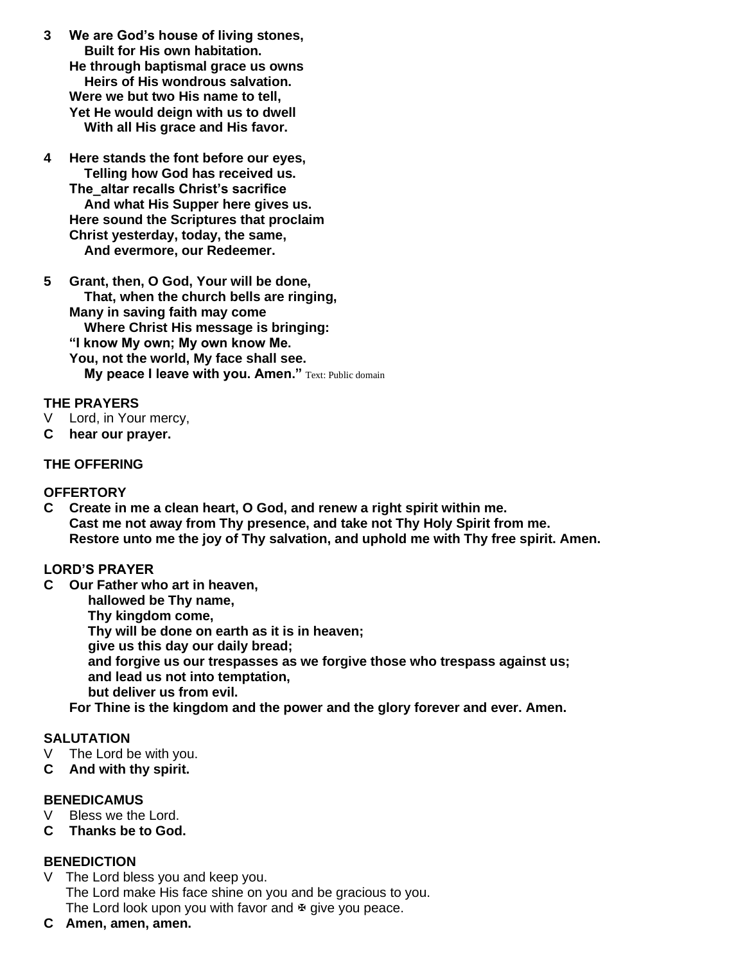- **3 We are God's house of living stones, Built for His own habitation. He through baptismal grace us owns Heirs of His wondrous salvation. Were we but two His name to tell, Yet He would deign with us to dwell With all His grace and His favor.**
- **4 Here stands the font before our eyes, Telling how God has received us. The\_altar recalls Christ's sacrifice And what His Supper here gives us. Here sound the Scriptures that proclaim Christ yesterday, today, the same, And evermore, our Redeemer.**
- **5 Grant, then, O God, Your will be done, That, when the church bells are ringing, Many in saving faith may come Where Christ His message is bringing: "I know My own; My own know Me. You, not the world, My face shall see.** My peace I leave with you. Amen." Text: Public domain

# **THE PRAYERS**

- V Lord, in Your mercy,
- **C hear our prayer.**

# **THE OFFERING**

### **OFFERTORY**

**C Create in me a clean heart, O God, and renew a right spirit within me. Cast me not away from Thy presence, and take not Thy Holy Spirit from me. Restore unto me the joy of Thy salvation, and uphold me with Thy free spirit. Amen.**

### **LORD'S PRAYER**

- **C Our Father who art in heaven,**
	- **hallowed be Thy name,**
	- **Thy kingdom come,**
	- **Thy will be done on earth as it is in heaven;**
	- **give us this day our daily bread;**
	- **and forgive us our trespasses as we forgive those who trespass against us;**
	- **and lead us not into temptation,**
	- **but deliver us from evil.**

**For Thine is the kingdom and the power and the glory forever and ever. Amen.**

# **SALUTATION**

- V The Lord be with you.
- **C And with thy spirit.**

### **BENEDICAMUS**

- V Bless we the Lord.
- **C Thanks be to God.**

# **BENEDICTION**

- V The Lord bless you and keep you. The Lord make His face shine on you and be gracious to you. The Lord look upon you with favor and  $\Phi$  give you peace.
- **C Amen, amen, amen.**